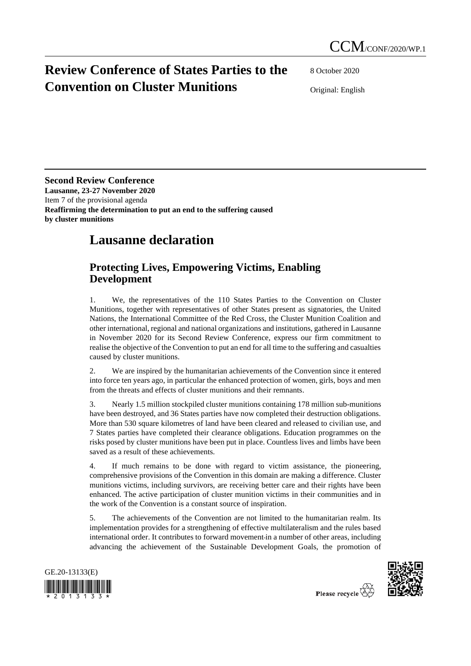## **Review Conference of States Parties to the Convention on Cluster Munitions**

8 October 2020

Original: English

**Second Review Conference Lausanne, 23-27 November 2020** Item 7 of the provisional agenda **Reaffirming the determination to put an end to the suffering caused by cluster munitions**

## **Lausanne declaration**

## **Protecting Lives, Empowering Victims, Enabling Development**

1. We, the representatives of the 110 States Parties to the Convention on Cluster Munitions, together with representatives of other States present as signatories, the United Nations, the International Committee of the Red Cross, the Cluster Munition Coalition and other international, regional and national organizations and institutions, gathered in Lausanne in November 2020 for its Second Review Conference, express our firm commitment to realise the objective of the Convention to put an end for all time to the suffering and casualties caused by cluster munitions.

2. We are inspired by the humanitarian achievements of the Convention since it entered into force ten years ago, in particular the enhanced protection of women, girls, boys and men from the threats and effects of cluster munitions and their remnants.

3. Nearly 1.5 million stockpiled cluster munitions containing 178 million sub-munitions have been destroyed, and 36 States parties have now completed their destruction obligations. More than 530 square kilometres of land have been cleared and released to civilian use, and 7 States parties have completed their clearance obligations. Education programmes on the risks posed by cluster munitions have been put in place. Countless lives and limbs have been saved as a result of these achievements.

4. If much remains to be done with regard to victim assistance, the pioneering, comprehensive provisions of the Convention in this domain are making a difference. Cluster munitions victims, including survivors, are receiving better care and their rights have been enhanced. The active participation of cluster munition victims in their communities and in the work of the Convention is a constant source of inspiration.

5. The achievements of the Convention are not limited to the humanitarian realm. Its implementation provides for a strengthening of effective multilateralism and the rules based international order. It contributes to forward movement in a number of other areas, including advancing the achievement of the Sustainable Development Goals, the promotion of



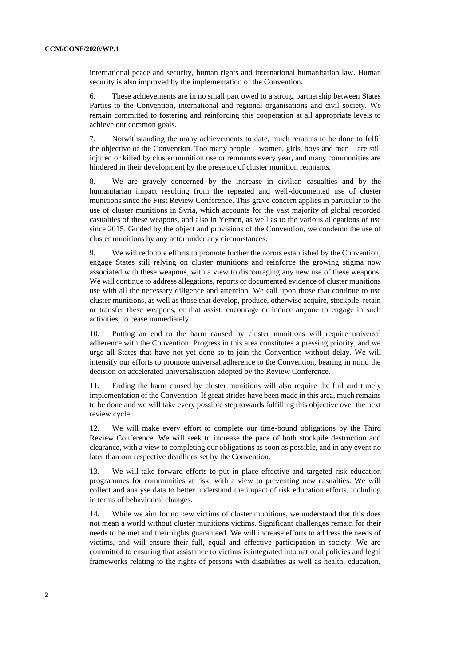international peace and security, human rights and international humanitarian law. Human security is also improved by the implementation of the Convention.

6. These achievements are in no small part owed to a strong partnership between States Parties to the Convention, international and regional organisations and civil society. We remain committed to fostering and reinforcing this cooperation at all appropriate levels to achieve our common goals.

7. Notwithstanding the many achievements to date, much remains to be done to fulfil the objective of the Convention. Too many people – women, girls, boys and men – are still injured or killed by cluster munition use or remnants every year, and many communities are hindered in their development by the presence of cluster munition remnants.

8. We are gravely concerned by the increase in civilian casualties and by the humanitarian impact resulting from the repeated and well-documented use of cluster munitions since the First Review Conference. This grave concern applies in particular to the use of cluster munitions in Syria, which accounts for the vast majority of global recorded casualties of these weapons, and also in Yemen, as well as to the various allegations of use since 2015. Guided by the object and provisions of the Convention, we condemn the use of cluster munitions by any actor under any circumstances.

9. We will redouble efforts to promote further the norms established by the Convention, engage States still relying on cluster munitions and reinforce the growing stigma now associated with these weapons, with a view to discouraging any new use of these weapons. We will continue to address allegations, reports or documented evidence of cluster munitions use with all the necessary diligence and attention. We call upon those that continue to use cluster munitions, as well as those that develop, produce, otherwise acquire, stockpile, retain or transfer these weapons, or that assist, encourage or induce anyone to engage in such activities, to cease immediately.

10. Putting an end to the harm caused by cluster munitions will require universal adherence with the Convention. Progress in this area constitutes a pressing priority, and we urge all States that have not yet done so to join the Convention without delay. We will intensify our efforts to promote universal adherence to the Convention, bearing in mind the decision on accelerated universalisation adopted by the Review Conference.

11. Ending the harm caused by cluster munitions will also require the full and timely implementation of the Convention. If great strides have been made in this area, much remains to be done and we will take every possible step towards fulfilling this objective over the next review cycle.

12. We will make every effort to complete our time-bound obligations by the Third Review Conference. We will seek to increase the pace of both stockpile destruction and clearance, with a view to completing our obligations as soon as possible, and in any event no later than our respective deadlines set by the Convention.

13. We will take forward efforts to put in place effective and targeted risk education programmes for communities at risk, with a view to preventing new casualties. We will collect and analyse data to better understand the impact of risk education efforts, including in terms of behavioural changes.

14. While we aim for no new victims of cluster munitions, we understand that this does not mean a world without cluster munitions victims. Significant challenges remain for their needs to be met and their rights guaranteed. We will increase efforts to address the needs of victims, and will ensure their full, equal and effective participation in society. We are committed to ensuring that assistance to victims is integrated into national policies and legal frameworks relating to the rights of persons with disabilities as well as health, education,